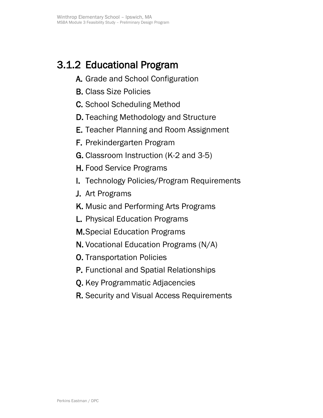# 3.1.2 Educational Program

- A. Grade and School Configuration
- B. Class Size Policies
- C. School Scheduling Method
- D. Teaching Methodology and Structure
- E. Teacher Planning and Room Assignment
- F. Prekindergarten Program
- G. Classroom Instruction (K-2 and 3-5)
- H. Food Service Programs
- I. Technology Policies/Program Requirements
- J. Art Programs
- K. Music and Performing Arts Programs
- L. Physical Education Programs
- M.Special Education Programs
- N. Vocational Education Programs (N/A)
- O. Transportation Policies
- P. Functional and Spatial Relationships
- Q. Key Programmatic Adjacencies
- R. Security and Visual Access Requirements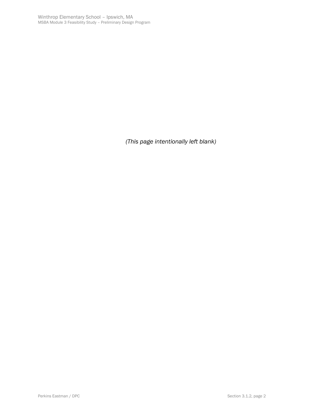*(This page intentionally left blank)*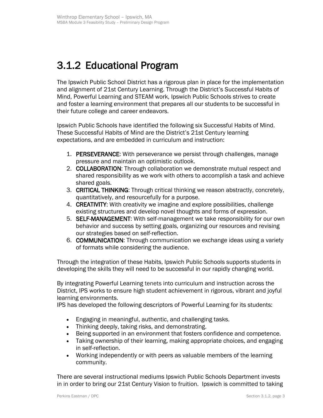# 3.1.2 Educational Program

The Ipswich Public School District has a rigorous plan in place for the implementation and alignment of 21st Century Learning. Through the District's Successful Habits of Mind, Powerful Learning and STEAM work, Ipswich Public Schools strives to create and foster a learning environment that prepares all our students to be successful in their future college and career endeavors.

Ipswich Public Schools have identified the following six Successful Habits of Mind. These Successful Habits of Mind are the District's 21st Century learning expectations, and are embedded in curriculum and instruction:

- 1. PERSEVERANCE: With perseverance we persist through challenges, manage pressure and maintain an optimistic outlook.
- 2. **COLLABORATION:** Through collaboration we demonstrate mutual respect and shared responsibility as we work with others to accomplish a task and achieve shared goals.
- 3. CRITICAL THINKING: Through critical thinking we reason abstractly, concretely, quantitatively, and resourcefully for a purpose.
- 4. CREATIVITY: With creativity we imagine and explore possibilities, challenge existing structures and develop novel thoughts and forms of expression.
- 5. SELF-MANAGEMENT: With self-management we take responsibility for our own behavior and success by setting goals, organizing our resources and revising our strategies based on self-reflection.
- 6. COMMUNICATION: Through communication we exchange ideas using a variety of formats while considering the audience.

Through the integration of these Habits, Ipswich Public Schools supports students in developing the skills they will need to be successful in our rapidly changing world.

By integrating Powerful Learning tenets into curriculum and instruction across the District, IPS works to ensure high student achievement in rigorous, vibrant and joyful learning environments.

IPS has developed the following descriptors of Powerful Learning for its students:

- Engaging in meaningful, authentic, and challenging tasks.
- Thinking deeply, taking risks, and demonstrating.
- Being supported in an environment that fosters confidence and competence.
- Taking ownership of their learning, making appropriate choices, and engaging in self-reflection.
- Working independently or with peers as valuable members of the learning community.

There are several instructional mediums Ipswich Public Schools Department invests in in order to bring our 21st Century Vision to fruition. Ipswich is committed to taking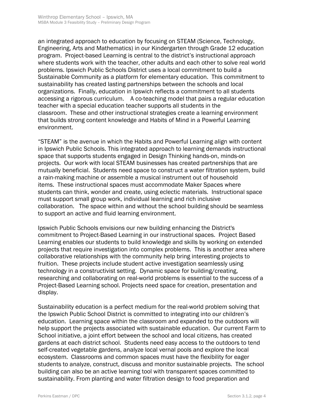an integrated approach to education by focusing on STEAM (Science, Technology, Engineering, Arts and Mathematics) in our Kindergarten through Grade 12 education program. Project-based Learning is central to the district's instructional approach where students work with the teacher, other adults and each other to solve real world problems. Ipswich Public Schools District uses a local commitment to build a Sustainable Community as a platform for elementary education. This commitment to sustainability has created lasting partnerships between the schools and local organizations. Finally, education in Ipswich reflects a commitment to all students accessing a rigorous curriculum. A co-teaching model that pairs a regular education teacher with a special education teacher supports all students in the classroom. These and other instructional strategies create a learning environment that builds strong content knowledge and Habits of Mind in a Powerful Learning environment.

"STEAM" is the avenue in which the Habits and Powerful Learning align with content in Ipswich Public Schools. This integrated approach to learning demands instructional space that supports students engaged in Design Thinking hands-on, minds-on projects. Our work with local STEAM businesses has created partnerships that are mutually beneficial. Students need space to construct a water filtration system, build a rain-making machine or assemble a musical instrument out of household items. These instructional spaces must accommodate Maker Spaces where students can think, wonder and create, using eclectic materials. Instructional space must support small group work, individual learning and rich inclusive collaboration. The space within and without the school building should be seamless to support an active and fluid learning environment.

Ipswich Public Schools envisions our new building enhancing the District's commitment to Project-Based Learning in our instructional spaces. Project Based Learning enables our students to build knowledge and skills by working on extended projects that require investigation into complex problems. This is another area where collaborative relationships with the community help bring interesting projects to fruition. These projects include student active investigation seamlessly using technology in a constructivist setting. Dynamic space for building/creating, researching and collaborating on real-world problems is essential to the success of a Project-Based Learning school. Projects need space for creation, presentation and display.

Sustainability education is a perfect medium for the real-world problem solving that the Ipswich Public School District is committed to integrating into our children's education. Learning space within the classroom and expanded to the outdoors will help support the projects associated with sustainable education. Our current Farm to School initiative, a joint effort between the school and local citizens, has created gardens at each district school. Students need easy access to the outdoors to tend self-created vegetable gardens, analyze local vernal pools and explore the local ecosystem. Classrooms and common spaces must have the flexibility for eager students to analyze, construct, discuss and monitor sustainable projects. The school building can also be an active learning tool with transparent spaces committed to sustainability. From planting and water filtration design to food preparation and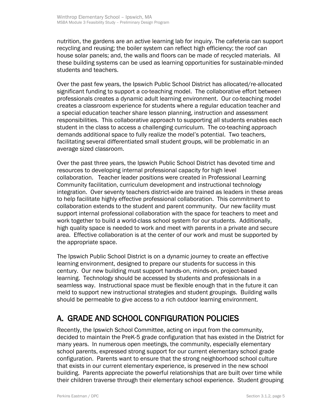nutrition, the gardens are an active learning lab for inquiry. The cafeteria can support recycling and reusing; the boiler system can reflect high efficiency; the roof can house solar panels; and, the walls and floors can be made of recycled materials. All these building systems can be used as learning opportunities for sustainable-minded students and teachers.

Over the past few years, the Ipswich Public School District has allocated/re-allocated significant funding to support a co-teaching model. The collaborative effort between professionals creates a dynamic adult learning environment. Our co-teaching model creates a classroom experience for students where a regular education teacher and a special education teacher share lesson planning, instruction and assessment responsibilities. This collaborative approach to supporting all students enables each student in the class to access a challenging curriculum. The co-teaching approach demands additional space to fully realize the model's potential. Two teachers, facilitating several differentiated small student groups, will be problematic in an average sized classroom.

Over the past three years, the Ipswich Public School District has devoted time and resources to developing internal professional capacity for high level collaboration. Teacher leader positions were created in Professional Learning Community facilitation, curriculum development and instructional technology integration. Over seventy teachers district-wide are trained as leaders in these areas to help facilitate highly effective professional collaboration. This commitment to collaboration extends to the student and parent community. Our new facility must support internal professional collaboration with the space for teachers to meet and work together to build a world-class school system for our students. Additionally, high quality space is needed to work and meet with parents in a private and secure area. Effective collaboration is at the center of our work and must be supported by the appropriate space.

The Ipswich Public School District is on a dynamic journey to create an effective learning environment, designed to prepare our students for success in this century. Our new building must support hands-on, minds-on, project-based learning. Technology should be accessed by students and professionals in a seamless way. Instructional space must be flexible enough that in the future it can meld to support new instructional strategies and student groupings. Building walls should be permeable to give access to a rich outdoor learning environment.

### A. GRADE AND SCHOOL CONFIGURATION POLICIES

Recently, the Ipswich School Committee, acting on input from the community, decided to maintain the PreK-5 grade configuration that has existed in the District for many years. In numerous open meetings, the community, especially elementary school parents, expressed strong support for our current elementary school grade configuration. Parents want to ensure that the strong neighborhood school culture that exists in our current elementary experience, is preserved in the new school building. Parents appreciate the powerful relationships that are built over time while their children traverse through their elementary school experience. Student grouping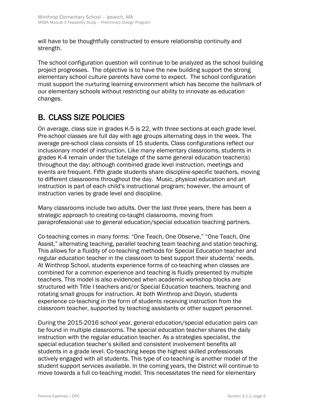will have to be thoughtfully constructed to ensure relationship continuity and strength.

The school configuration question will continue to be analyzed as the school building project progresses. The objective is to have the new building support the strong elementary school culture parents have come to expect. The school configuration must support the nurturing learning environment which has become the hallmark of our elementary schools without restricting our ability to innovate as education changes.

## B. CLASS SIZE POLICIES

On average, class size in grades K-5 is 22, with three sections at each grade level. Pre-school classes are full day with age groups alternating days in the week. The average pre-school class consists of 15 students. Class configurations reflect our inclusionary model of instruction. Like many elementary classrooms, students in grades K-4 remain under the tutelage of the same general education teacher(s) throughout the day; although combined grade level instruction, meetings and events are frequent. Fifth grade students share discipline-specific teachers, moving to different classrooms throughout the day. Music, physical education and art instruction is part of each child's instructional program; however, the amount of instruction varies by grade level and discipline.

Many classrooms include two adults. Over the last three years, there has been a strategic approach to creating co-taught classrooms, moving from paraprofessional use to general education/special education teaching partners.

Co-teaching comes in many forms: "One Teach, One Observe," "One Teach, One Assist," alternating teaching, parallel teaching team teaching and station teaching. This allows for a fluidity of co-teaching methods for Special Education teacher and regular education teacher in the classroom to best support their students' needs. At Winthrop School, students experience forms of co-teaching when classes are combined for a common experience and teaching is fluidly presented by multiple teachers. This model is also evidenced when academic workshop blocks are structured with Title I teachers and/or Special Education teachers, teaching and rotating small groups for instruction. At both Winthrop and Doyon, students experience co-teaching in the form of students receiving instruction from the classroom teacher, supported by teaching assistants or other support personnel.

During the 2015-2016 school year, general education/special education pairs can be found in multiple classrooms. The special education teacher shares the daily instruction with the regular education teacher. As a strategies specialist, the special education teacher's skilled and consistent involvement benefits all students in a grade level. Co-teaching keeps the highest skilled professionals actively engaged with all students. This type of co-teaching is another model of the student support services available. In the coming years, the District will continue to move towards a full co-teaching model. This necessitates the need for elementary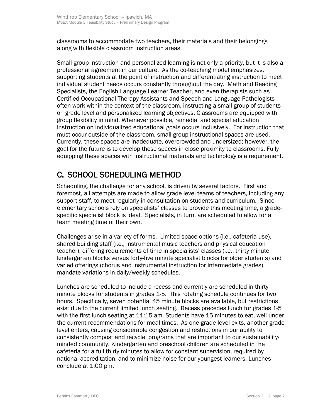classrooms to accommodate two teachers, their materials and their belongings along with flexible classroom instruction areas.

Small group instruction and personalized learning is not only a priority, but it is also a professional agreement in our culture. As the co-teaching model emphasizes, supporting students at the point of instruction and differentiating instruction to meet individual student needs occurs constantly throughout the day. Math and Reading Specialists, the English Language Learner Teacher, and even therapists such as Certified Occupational Therapy Assistants and Speech and Language Pathologists often work within the context of the classroom, instructing a small group of students on grade level and personalized learning objectives. Classrooms are equipped with group flexibility in mind. Whenever possible, remedial and special education instruction on individualized educational goals occurs inclusively. For instruction that must occur outside of the classroom, small group instructional spaces are used. Currently, these spaces are inadequate, overcrowded and undersized; however, the goal for the future is to develop these spaces in close proximity to classrooms. Fully equipping these spaces with instructional materials and technology is a requirement.

# C. SCHOOL SCHEDULING METHOD

Scheduling, the challenge for any school, is driven by several factors. First and foremost, all attempts are made to allow grade level teams of teachers, including any support staff, to meet regularly in consultation on students and curriculum. Since elementary schools rely on specialists' classes to provide this meeting time, a gradespecific specialist block is ideal. Specialists, in turn, are scheduled to allow for a team meeting time of their own.

Challenges arise in a variety of forms. Limited space options (i.e., cafeteria use), shared building staff (i.e., instrumental music teachers and physical education teacher), differing requirements of time in specialists' classes (i.e., thirty minute kindergarten blocks versus forty-five minute specialist blocks for older students) and varied offerings (chorus and instrumental instruction for intermediate grades) mandate variations in daily/weekly schedules.

Lunches are scheduled to include a recess and currently are scheduled in thirty minute blocks for students in grades 1-5. This rotating schedule continues for two hours. Specifically, seven potential 45 minute blocks are available, but restrictions exist due to the current limited lunch seating. Recess precedes lunch for grades 1-5 with the first lunch seating at 11:15 am. Students have 15 minutes to eat, well under the current recommendations for meal times. As one grade level exits, another grade level enters, causing considerable congestion and restrictions in our ability to consistently compost and recycle, programs that are important to our sustainabilityminded community. Kindergarten and preschool children are scheduled in the cafeteria for a full thirty minutes to allow for constant supervision, required by national accreditation, and to minimize noise for our youngest learners. Lunches conclude at 1:00 pm.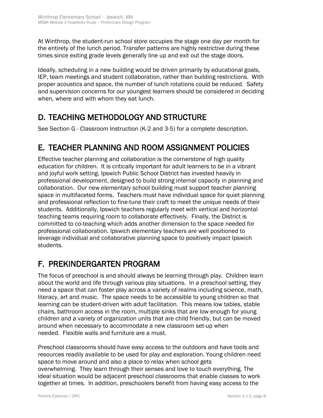At Winthrop, the student-run school store occupies the stage one day per month for the entirety of the lunch period. Transfer patterns are highly restrictive during these times since exiting grade levels generally line up and exit out the stage doors.

Ideally, scheduling in a new building would be driven primarily by educational goals, IEP, team meetings and student collaboration, rather than building restrictions. With proper acoustics and space, the number of lunch rotations could be reduced. Safety and supervision concerns for our youngest learners should be considered in deciding when, where and with whom they eat lunch.

## D. TEACHING METHODOLOGY AND STRUCTURE

See Section G - Classroom Instruction (K-2 and 3-5) for a complete description.

### E. TEACHER PLANNING AND ROOM ASSIGNMENT POLICIES

Effective teacher planning and collaboration is the cornerstone of high quality education for children. It is critically important for adult learners to be in a vibrant and joyful work setting. Ipswich Public School District has invested heavily in professional development, designed to build strong internal capacity in planning and collaboration. Our new elementary school building must support teacher planning space in multifaceted forms. Teachers must have individual space for quiet planning and professional reflection to fine-tune their craft to meet the unique needs of their students. Additionally, Ipswich teachers regularly meet with vertical and horizontal teaching teams requiring room to collaborate effectively. Finally, the District is committed to co-teaching which adds another dimension to the space needed for professional collaboration. Ipswich elementary teachers are well positioned to leverage individual and collaborative planning space to positively impact Ipswich students.

### F. PREKINDERGARTEN PROGRAM

The focus of preschool is and should always be learning through play. Children learn about the world and life through various play situations. In a preschool setting, they need a space that can foster play across a variety of realms including science, math, literacy, art and music. The space needs to be accessible to young children so that learning can be student-driven with adult facilitation. This means low tables, stable chairs, bathroom access in the room, multiple sinks that are low enough for young children and a variety of organization units that are child friendly, but can be moved around when necessary to accommodate a new classroom set-up when needed. Flexible walls and furniture are a must.

Preschool classrooms should have easy access to the outdoors and have tools and resources readily available to be used for play and exploration. Young children need space to move around and also a place to relax when school gets overwhelming. They learn through their senses and love to touch everything. The ideal situation would be adjacent preschool classrooms that enable classes to work together at times. In addition, preschoolers benefit from having easy access to the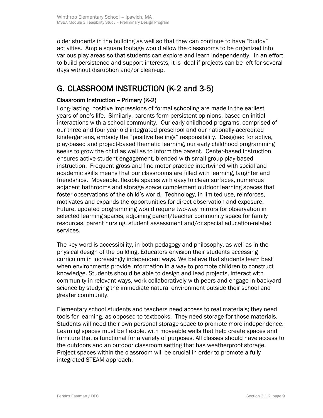older students in the building as well so that they can continue to have "buddy" activities. Ample square footage would allow the classrooms to be organized into various play areas so that students can explore and learn independently. In an effort to build persistence and support interests, it is ideal if projects can be left for several days without disruption and/or clean-up.

### G. CLASSROOM INSTRUCTION (K-2 and 3-5)

### Classroom Instruction  $-$  Primary (K-2)

Long-lasting, positive impressions of formal schooling are made in the earliest years of one's life. Similarly, parents form persistent opinions, based on initial interactions with a school community. Our early childhood programs, comprised of our three and four year old integrated preschool and our nationally-accredited kindergartens, embody the "positive feelings" responsibility. Designed for active, play-based and project-based thematic learning, our early childhood programming seeks to grow the child as well as to inform the parent. Center-based instruction ensures active student engagement, blended with small group play-based instruction. Frequent gross and fine motor practice intertwined with social and academic skills means that our classrooms are filled with learning, laughter and friendships. Moveable, flexible spaces with easy to clean surfaces, numerous adjacent bathrooms and storage space complement outdoor learning spaces that foster observations of the child's world. Technology, in limited use, reinforces, motivates and expands the opportunities for direct observation and exposure. Future, updated programming would require two-way mirrors for observation in selected learning spaces, adjoining parent/teacher community space for family resources, parent nursing, student assessment and/or special education-related services.

The key word is accessibility, in both pedagogy and philosophy, as well as in the physical design of the building. Educators envision their students accessing curriculum in increasingly independent ways. We believe that students learn best when environments provide information in a way to promote children to construct knowledge. Students should be able to design and lead projects, interact with community in relevant ways, work collaboratively with peers and engage in backyard science by studying the immediate natural environment outside their school and greater community.

Elementary school students and teachers need access to real materials; they need tools for learning, as opposed to textbooks. They need storage for those materials. Students will need their own personal storage space to promote more independence. Learning spaces must be flexible, with moveable walls that help create spaces and furniture that is functional for a variety of purposes. All classes should have access to the outdoors and an outdoor classroom setting that has weatherproof storage. Project spaces within the classroom will be crucial in order to promote a fully integrated STEAM approach.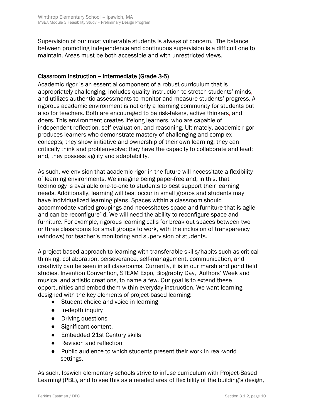Supervision of our most vulnerable students is always of concern. The balance between promoting independence and continuous supervision is a difficult one to maintain. Areas must be both accessible and with unrestricted views.

### Classroom Instruction -- Intermediate (Grade 3-5)

Academic rigor is an essential component of a robust curriculum that is appropriately challenging, includes quality instruction to stretch students' minds, and utilizes authentic assessments to monitor and measure students' progress. A rigorous academic environment is not only a learning community for students but also for teachers. Both are encouraged to be risk-takers, active thinkers, and doers. This environment creates lifelong learners, who are capable of independent reflection, self-evaluation, and reasoning. Ultimately, academic rigor produces learners who demonstrate mastery of challenging and complex concepts; they show initiative and ownership of their own learning; they can critically think and problem-solve; they have the capacity to collaborate and lead; and, they possess agility and adaptability.

As such, we envision that academic rigor in the future will necessitate a flexibility of learning environments. We imagine being paper-free and, in this, that technology is available one-to-one to students to best support their learning needs. Additionally, learning will best occur in small groups and students may have individualized learning plans. Spaces within a classroom should accommodate varied groupings and necessitates space and furniture that is agile and can be reconfigure`d. We will need the ability to reconfigure space and furniture. For example, rigorous learning calls for break-out spaces between two or three classrooms for small groups to work, with the inclusion of transparency (windows) for teacher's monitoring and supervision of students.

A project-based approach to learning with transferable skills/habits such as critical thinking, collaboration, perseverance, self-management, communication, and creativity can be seen in all classrooms. Currently, it is in our marsh and pond field studies, Invention Convention, STEAM Expo, Biography Day, Authors' Week and musical and artistic creations, to name a few. Our goal is to extend these opportunities and embed them within everyday instruction. We want learning designed with the key elements of project-based learning:

- Student choice and voice in learning
- In-depth inquiry
- Driving questions
- Significant content.
- Embedded 21st Century skills
- Revision and reflection
- Public audience to which students present their work in real-world settings.

As such, Ipswich elementary schools strive to infuse curriculum with Project-Based Learning (PBL), and to see this as a needed area of flexibility of the building's design,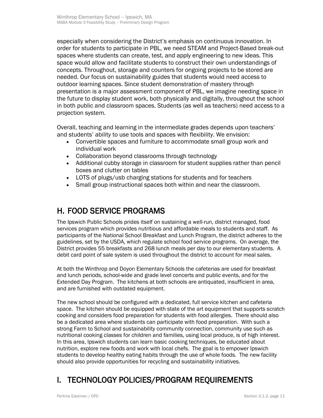especially when considering the District's emphasis on continuous innovation. In order for students to participate in PBL, we need STEAM and Project-Based break-out spaces where students can create, test, and apply engineering to new ideas. This space would allow and facilitate students to construct their own understandings of concepts. Throughout, storage and counters for ongoing projects to be stored are needed. Our focus on sustainability guides that students would need access to outdoor learning spaces. Since student demonstration of mastery through presentation is a major assessment component of PBL, we imagine needing space in the future to display student work, both physically and digitally, throughout the school in both public and classroom spaces. Students (as well as teachers) need access to a projection system.

Overall, teaching and learning in the intermediate grades depends upon teachers' and students' ability to use tools and spaces with flexibility. We envision:

- Convertible spaces and furniture to accommodate small group work and individual work
- Collaboration beyond classrooms through technology
- Additional cubby storage in classroom for student supplies rather than pencil boxes and clutter on tables
- LOTS of plugs/usb charging stations for students and for teachers
- Small group instructional spaces both within and near the classroom.

### H. FOOD SERVICE PROGRAMS

The Ipswich Public Schools prides itself on sustaining a well-run, district managed, food services program which provides nutritious and affordable meals to students and staff. As participants of the National School Breakfast and Lunch Program, the district adheres to the guidelines, set by the USDA, which regulate school food service programs. On average, the District provides 55 breakfasts and 268 lunch meals per day to our elementary students. A debit card point of sale system is used throughout the district to account for meal sales.

At both the Winthrop and Doyon Elementary Schools the cafeterias are used for breakfast and lunch periods, school-wide and grade level concerts and public events, and for the Extended Day Program. The kitchens at both schools are antiquated, insufficient in area, and are furnished with outdated equipment.

The new school should be configured with a dedicated, full service kitchen and cafeteria space. The kitchen should be equipped with state of the art equipment that supports scratch cooking and considers food preparation for students with food allergies. There should also be a dedicated area where students can participate with food preparation. With such a strong Farm to School and sustainability community connection, community use such as nutritional cooking classes for children and families, using local produce, is of high interest. In this area, Ipswich students can learn basic cooking techniques, be educated about nutrition, explore new foods and work with local chefs. The goal is to empower Ipswich students to develop healthy eating habits through the use of whole foods. The new facility should also provide opportunities for recycling and sustainability initiatives.

# I. TECHNOLOGY POLICIES/PROGRAM REQUIREMENTS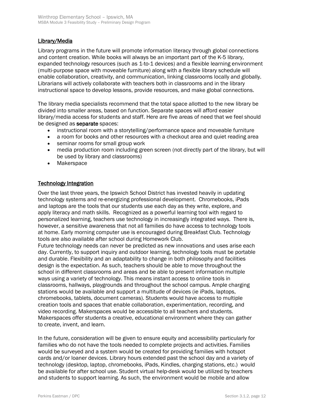#### Library/Media

Library programs in the future will promote information literacy through global connections and content creation. While books will always be an important part of the K-5 library, expanded technology resources (such as 1-to-1 devices) and a flexible learning environment (multi-purpose space with moveable furniture) along with a flexible library schedule will enable collaboration, creativity, and communication, linking classrooms locally and globally. Librarians will actively collaborate with teachers both in classrooms and in the library instructional space to develop lessons, provide resources, and make global connections.

The library media specialists recommend that the total space allotted to the new library be divided into smaller areas, based on function. Separate spaces will afford easier library/media access for students and staff. Here are five areas of need that we feel should be designed as separate spaces:

- instructional room with a storytelling/performance space and moveable furniture
- a room for books and other resources with a checkout area and quiet reading area
- seminar rooms for small group work
- media production room including green screen (not directly part of the library, but will be used by library and classrooms)
- Makerspace

#### Technology Integration

Over the last three years, the Ipswich School District has invested heavily in updating technology systems and re-energizing professional development. Chromebooks, iPads and laptops are the tools that our students use each day as they write, explore, and apply literacy and math skills. Recognized as a powerful learning tool with regard to personalized learning, teachers use technology in increasingly integrated ways. There is, however, a sensitive awareness that not all families do have access to technology tools at home. Early morning computer use is encouraged during Breakfast Club. Technology tools are also available after school during Homework Club.

Future technology needs can never be predicted as new innovations and uses arise each day. Currently, to support inquiry and outdoor learning, technology tools must be portable and durable. Flexibility and an adaptability to change in both philosophy and facilities design is the expectation. As such, teachers should be able to move throughout the school in different classrooms and areas and be able to present information multiple ways using a variety of technology. This means instant access to online tools in classrooms, hallways, playgrounds and throughout the school campus. Ample charging stations would be available and support a multitude of devices (ie iPads, laptops, chromebooks, tablets, document cameras). Students would have access to multiple creation tools and spaces that enable collaboration, experimentation, recording, and video recording. Makerspaces would be accessible to all teachers and students. Makerspaces offer students a creative, educational environment where they can gather to create, invent, and learn.

In the future, consideration will be given to ensure equity and accessibility particularly for families who do not have the tools needed to complete projects and activities. Families would be surveyed and a system would be created for providing families with hotspot cards and/or loaner devices. Library hours extended past the school day and a variety of technology (desktop, laptop, chromebooks, iPads, Kindles, charging stations, etc.) would be available for after school use. Student virtual help-desk would be utilized by teachers and students to support learning. As such, the environment would be mobile and allow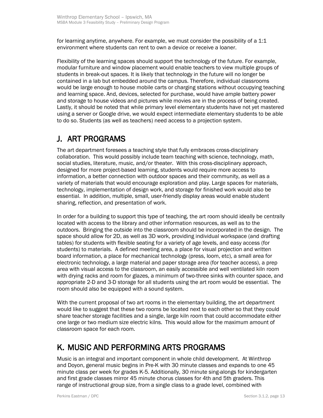for learning anytime, anywhere. For example, we must consider the possibility of a 1:1 environment where students can rent to own a device or receive a loaner.

Flexibility of the learning spaces should support the technology of the future. For example, modular furniture and window placement would enable teachers to view multiple groups of students in break-out spaces. It is likely that technology in the future will no longer be contained in a lab but embedded around the campus. Therefore, individual classrooms would be large enough to house mobile carts or charging stations without occupying teaching and learning space. And, devices, selected for purchase, would have ample battery power and storage to house videos and pictures while movies are in the process of being created. Lastly, it should be noted that while primary level elementary students have not yet mastered using a server or Google drive, we would expect intermediate elementary students to be able to do so. Students (as well as teachers) need access to a projection system.

### J. ART PROGRAMS

The art department foresees a teaching style that fully embraces cross-disciplinary collaboration. This would possibly include team teaching with science, technology, math, social studies, literature, music, and/or theater. With this cross-disciplinary approach, designed for more project-based learning, students would require more access to information, a better connection with outdoor spaces and their community, as well as a variety of materials that would encourage exploration and play. Large spaces for materials, technology, implementation of design work, and storage for finished work would also be essential. In addition, multiple, small, user-friendly display areas would enable student sharing, reflection, and presentation of work.

In order for a building to support this type of teaching, the art room should ideally be centrally located with access to the library and other information resources, as well as to the outdoors. Bringing the outside into the classroom should be incorporated in the design. The space should allow for 2D, as well as 3D work, providing individual workspace (and drafting tables) for students with flexible seating for a variety of age levels, and easy access (for students) to materials. A defined meeting area, a place for visual projection and written board information, a place for mechanical technology (press, loom, etc), a small area for electronic technology, a large material and paper storage area (for teacher access), a prep area with visual access to the classroom, an easily accessible and well ventilated kiln room with drying racks and room for glazes, a minimum of two-three sinks with counter space, and appropriate 2-D and 3-D storage for all students using the art room would be essential. The room should also be equipped with a sound system.

With the current proposal of two art rooms in the elementary building, the art department would like to suggest that these two rooms be located next to each other so that they could share teacher storage facilities and a single, large kiln room that could accommodate either one large or two medium size electric kilns. This would allow for the maximum amount of classroom space for each room.

### K. MUSIC AND PERFORMING ARTS PROGRAMS

Music is an integral and important component in whole child development. At Winthrop and Doyon, general music begins in Pre-K with 30 minute classes and expands to one 45 minute class per week for grades K-5. Additionally, 30 minute sing-alongs for kindergarten and first grade classes mirror 45 minute chorus classes for 4th and 5th graders. This range of instructional group size, from a single class to a grade level, combined with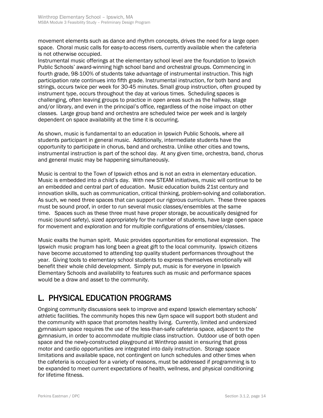movement elements such as dance and rhythm concepts, drives the need for a large open space. Choral music calls for easy-to-access risers, currently available when the cafeteria is not otherwise occupied.

Instrumental music offerings at the elementary school level are the foundation to Ipswich Public Schools' award-winning high school band and orchestral groups. Commencing in fourth grade, 98-100% of students take advantage of instrumental instruction. This high participation rate continues into fifth grade. Instrumental instruction, for both band and strings, occurs twice per week for 30-45 minutes. Small group instruction, often grouped by instrument type, occurs throughout the day at various times. Scheduling spaces is challenging, often leaving groups to practice in open areas such as the hallway, stage and/or library, and even in the principal's office, regardless of the noise impact on other classes. Large group band and orchestra are scheduled twice per week and is largely dependent on space availability at the time it is occurring.

As shown, music is fundamental to an education in Ipswich Public Schools, where all students participant in general music. Additionally, intermediate students have the opportunity to participate in chorus, band and orchestra. Unlike other cities and towns, instrumental instruction is part of the school day. At any given time, orchestra, band, chorus and general music may be happening simultaneously.

Music is central to the Town of Ipswich ethos and is not an extra in elementary education. Music is embedded into a child's day. With new STEAM initiatives, music will continue to be an embedded and central part of education. Music education builds 21st century and innovation skills, such as communication, critical thinking, problem-solving and collaboration. As such, we need three spaces that can support our rigorous curriculum. These three spaces must be sound proof, in order to run several music classes/ensembles at the same time. Spaces such as these three must have proper storage, be acoustically designed for music (sound safety), sized appropriately for the number of students, have large open space for movement and exploration and for multiple configurations of ensembles/classes.

Music exalts the human spirit. Music provides opportunities for emotional expression. The Ipswich music program has long been a great gift to the local community. Ipswich citizens have become accustomed to attending top quality student performances throughout the year. Giving tools to elementary school students to express themselves emotionally will benefit their whole child development. Simply put, music is for everyone in Ipswich Elementary Schools and availability to features such as music and performance spaces would be a draw and asset to the community.

## L. PHYSICAL EDUCATION PROGRAMS

Ongoing community discussions seek to improve and expand Ipswich elementary schools' athletic facilities. The community hopes this new Gym space will support both student and the community with space that promotes healthy living. Currently, limited and undersized gymnasium space requires the use of the less-than-safe cafeteria space, adjacent to the gymnasium, in order to accommodate multiple class instruction. Outdoor use of both open space and the newly-constructed playground at Winthrop assist in ensuring that gross motor and cardio opportunities are integrated into daily instruction. Storage space limitations and available space, not contingent on lunch schedules and other times when the cafeteria is occupied for a variety of reasons, must be addressed if programming is to be expanded to meet current expectations of health, wellness, and physical conditioning for lifetime fitness.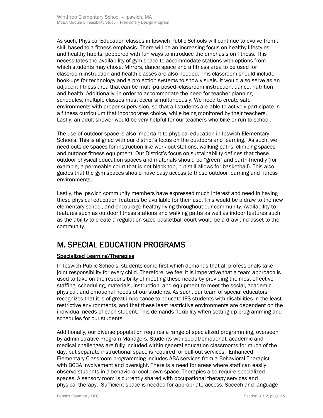As such, Physical Education classes in Ipswich Public Schools will continue to evolve from a skill-based to a fitness emphasis. There will be an increasing focus on healthy lifestyles and healthy habits, peppered with fun ways to introduce the emphasis on fitness. This necessitates the availability of gym space to accommodate stations with options from which students may chose. Mirrors, dance space and a fitness area to be used for classroom instruction and health classes are also needed. This classroom should include hook-ups for technology and a projection systems to show visuals. It would also serve as an adjacent fitness area that can be multi-purposed--classroom instruction, dance, nutrition and health. Additionally, in order to accommodate the need for teacher planning schedules, multiple classes must occur simultaneously. We need to create safe environments with proper supervision, so that all students are able to actively participate in a fitness curriculum that incorporates choice, while being monitored by their teachers. Lastly, an adult shower would be very helpful for our teachers who bike or run to school.

The use of outdoor space is also important to physical education in Ipswich Elementary Schools. This is aligned with our district's focus on the outdoors and learning. As such, we need outside spaces for instruction like work-out stations, walking paths, climbing spaces and outdoor fitness equipment. Our District's focus on sustainability defines that these outdoor physical education spaces and materials should be "green" and earth-friendly (for example, a permeable court that is not black top, but still allows for basketball). This also guides that the gym spaces should have easy access to these outdoor learning and fitness environments.

Lastly, the Ipswich community members have expressed much interest and need in having these physical education features be available for their use. This would be a draw to the new elementary school, and encourage healthy living throughout our community. Availability to features such as outdoor fitness stations and walking paths as well as indoor features such as the ability to create a regulation-sized basketball court would be a draw and asset to the community.

### M. SPECIAL EDUCATION PROGRAMS

### Specialized Learning/Therapies

In Ipswich Public Schools, students come first which demands that all professionals take joint responsibility for every child. Therefore, we feel it is imperative that a team approach is used to take on the responsibility of meeting these needs by providing the most effective staffing, scheduling, materials, instruction, and equipment to meet the social, academic, physical, and emotional needs of our students. As such, our team of special educators recognizes that it is of great importance to educate IPS students with disabilities in the least restrictive environments, and that these least restrictive environments are dependent on the individual needs of each student. This demands flexibility when setting up programming and schedules for our students.

Additionally, our diverse population requires a range of specialized programming, overseen by administrative Program Managers. Students with social/emotional, academic and medical challenges are fully included within general education classrooms for much of the day, but separate instructional space is required for pull-out services. Enhanced Elementary Classroom programming includes ABA services from a Behavioral Therapist with BCBA involvement and oversight. There is a need for areas where staff can easily observe students in a behavioral cool-down space. Therapies also require specialized spaces. A sensory room is currently shared with occupational therapy services and physical therapy. Sufficient space is needed for appropriate access. Speech and language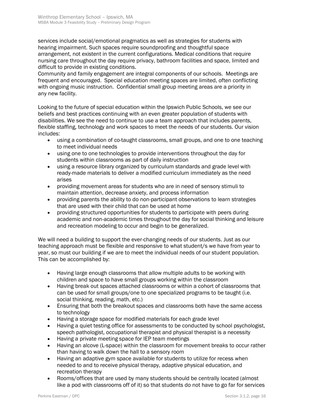services include social/emotional pragmatics as well as strategies for students with hearing impairment. Such spaces require soundproofing and thoughtful space arrangement, not existent in the current configurations. Medical conditions that require nursing care throughout the day require privacy, bathroom facilities and space, limited and difficult to provide in existing conditions.

Community and family engagement are integral components of our schools. Meetings are frequent and encouraged. Special education meeting spaces are limited, often conflicting with ongoing music instruction. Confidential small group meeting areas are a priority in any new facility.

Looking to the future of special education within the Ipswich Public Schools, we see our beliefs and best practices continuing with an even greater population of students with disabilities. We see the need to continue to use a team approach that includes parents, flexible staffing, technology and work spaces to meet the needs of our students. Our vision includes:

- using a combination of co-taught classrooms, small groups, and one to one teaching to meet individual needs
- using one to one technologies to provide interventions throughout the day for students within classrooms as part of daily instruction
- using a resource library organized by curriculum standards and grade level with ready-made materials to deliver a modified curriculum immediately as the need arises
- providing movement areas for students who are in need of sensory stimuli to maintain attention, decrease anxiety, and process information
- providing parents the ability to do non-participant observations to learn strategies that are used with their child that can be used at home
- providing structured opportunities for students to participate with peers during academic and non-academic times throughout the day for social thinking and leisure and recreation modeling to occur and begin to be generalized.

We will need a building to support the ever-changing needs of our students. Just as our teaching approach must be flexible and responsive to what student/s we have from year to year, so must our building if we are to meet the individual needs of our student population. This can be accomplished by:

- Having large enough classrooms that allow multiple adults to be working with children and space to have small groups working within the classroom
- Having break out spaces attached classrooms or within a cohort of classrooms that can be used for small groups/one to one specialized programs to be taught (i.e. social thinking, reading, math, etc.)
- Ensuring that both the breakout spaces and classrooms both have the same access to technology
- Having a storage space for modified materials for each grade level
- Having a quiet testing office for assessments to be conducted by school psychologist, speech pathologist, occupational therapist and physical therapist is a necessity
- Having a private meeting space for IEP team meetings
- Having an alcove (L-space) within the classroom for movement breaks to occur rather than having to walk down the hall to a sensory room
- Having an adaptive gym space available for students to utilize for recess when needed to and to receive physical therapy, adaptive physical education, and recreation therapy
- Rooms/offices that are used by many students should be centrally located (almost like a pod with classrooms off of it) so that students do not have to go far for services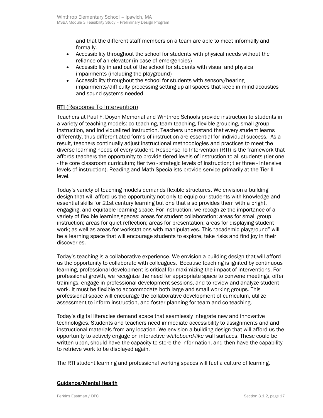and that the different staff members on a team are able to meet informally and formally.

- Accessibility throughout the school for students with physical needs without the reliance of an elevator (in case of emergencies)
- Accessibility in and out of the school for students with visual and physical impairments (including the playground)
- Accessibility throughout the school for students with sensory/hearing impairments/difficulty processing setting up all spaces that keep in mind acoustics and sound systems needed

### RTI (Response To Intervention)

Teachers at Paul F. Doyon Memorial and Winthrop Schools provide instruction to students in a variety of teaching models: co-teaching, team teaching, flexible grouping, small group instruction, and individualized instruction. Teachers understand that every student learns differently, thus differentiated forms of instruction are essential for individual success. As a result, teachers continually adjust instructional methodologies and practices to meet the diverse learning needs of every student. Response To Intervention (RTI) is the framework that affords teachers the opportunity to provide tiered levels of instruction to all students (tier one - the core classroom curriculum; tier two - strategic levels of instruction; tier three - intensive levels of instruction). Reading and Math Specialists provide service primarily at the Tier II level.

Today's variety of teaching models demands flexible structures. We envision a building design that will afford us the opportunity not only to equip our students with knowledge and essential skills for 21st century learning but one that also provides them with a bright, engaging, and equitable learning space. For instruction, we recognize the importance of a variety of flexible learning spaces: areas for student collaboration; areas for small group instruction; areas for quiet reflection; areas for presentation; areas for displaying student work; as well as areas for workstations with manipulatives. This "academic playground" will be a learning space that will encourage students to explore, take risks and find joy in their discoveries.

Today's teaching is a collaborative experience. We envision a building design that will afford us the opportunity to collaborate with colleagues. Because teaching is ignited by continuous learning, professional development is critical for maximizing the impact of interventions. For professional growth, we recognize the need for appropriate space to convene meetings, offer trainings, engage in professional development sessions, and to review and analyze student work. It must be flexible to accommodate both large and small working groups. This professional space will encourage the collaborative development of curriculum, utilize assessment to inform instruction, and foster planning for team and co-teaching.

Today's digital literacies demand space that seamlessly integrate new and innovative technologies. Students and teachers need immediate accessibility to assignments and and instructional materials from any location. We envision a building design that will afford us the opportunity to actively engage on interactive *whiteboard-like* wall surfaces. These could be written upon, should have the capacity to store the information, and then have the capability to retrieve work to be displayed again.

The RTI student learning and professional working spaces will fuel a culture of learning.

#### Guidance/Mental Health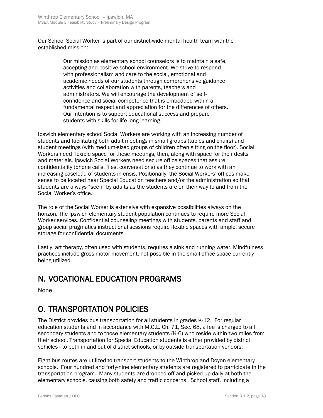Our School Social Worker is part of our district-wide mental health team with the established mission:

> Our mission as elementary school counselors is to maintain a safe, accepting and positive school environment. We strive to respond with professionalism and care to the social, emotional and academic needs of our students through comprehensive guidance activities and collaboration with parents, teachers and administrators. We will encourage the development of selfconfidence and social competence that is embedded within a fundamental respect and appreciation for the differences of others. Our intention is to support educational success and prepare students with skills for life-long learning.

Ipswich elementary school Social Workers are working with an increasing number of students and facilitating both adult meetings in small groups (tables and chairs) and student meetings (with medium-sized groups of children often sitting on the floor). Social Workers need flexible space for these meetings, then, along with space for their desks and materials. Ipswich Social Workers need secure office spaces that assure confidentiality (phone calls, files, conversations) as they continue to work with an increasing caseload of students in crisis. Positionally, the Social Workers' offices make sense to be located near Special Education teachers and/or the administration so that students are always "seen" by adults as the students are on their way to and from the Social Worker's office.

The role of the Social Worker is extensive with expansive possibilities always on the horizon. The Ipswich elementary student population continues to require more Social Worker services. Confidential counseling meetings with students, parents and staff and group social pragmatics instructional sessions require flexible spaces with ample, secure storage for confidential documents.

Lastly, art therapy, often used with students, requires a sink and running water. Mindfulness practices include gross motor movement, not possible in the small office space currently being utilized.

## N. VOCATIONAL EDUCATION PROGRAMS

None

## O. TRANSPORTATION POLICIES

The District provides bus transportation for all students in grades K-12. For regular education students and in accordance with M.G.L. Ch. 71, Sec. 68, a fee is charged to all secondary students and to those elementary students (K-6) who reside within two miles from their school. Transportation for Special Education students is either provided by district vehicles - to both in and out of district schools, or by outside transportation vendors.

Eight bus routes are utilized to transport students to the Winthrop and Doyon elementary schools. Four hundred and forty-nine elementary students are registered to participate in the transportation program. Many students are dropped off and picked up daily at both the elementary schools, causing both safety and traffic concerns. School staff, including a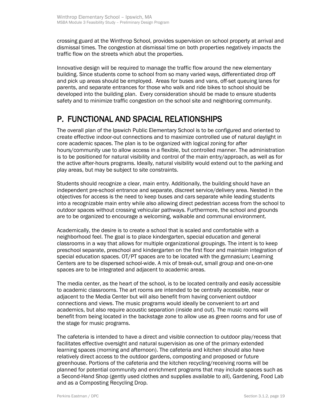crossing guard at the Winthrop School, provides supervision on school property at arrival and dismissal times. The congestion at dismissal time on both properties negatively impacts the traffic flow on the streets which abut the properties.

Innovative design will be required to manage the traffic flow around the new elementary building. Since students come to school from so many varied ways, differentiated drop off and pick up areas should be employed. Areas for buses and vans, off-set queuing lanes for parents, and separate entrances for those who walk and ride bikes to school should be developed into the building plan. Every consideration should be made to ensure students safety and to minimize traffic congestion on the school site and neighboring community.

### P. FUNCTIONAL AND SPACIAL RELATIONSHIPS

The overall plan of the Ipswich Public Elementary School is to be configured and oriented to create effective indoor-out connections and to maximize controlled use of natural daylight in core academic spaces. The plan is to be organized with logical zoning for after hours/community use to allow access in a flexible, but controlled manner. The administration is to be positioned for natural visibility and control of the main entry/approach, as well as for the active after-hours programs. Ideally, natural visibility would extend out to the parking and play areas, but may be subject to site constraints.

Students should recognize a clear, main entry. Additionally, the building should have an independent pre-school entrance and separate, discreet service/delivery area. Nested in the objectives for access is the need to keep buses and cars separate while leading students into a recognizable main entry while also allowing direct pedestrian access from the school to outdoor spaces without crossing vehicular pathways. Furthermore, the school and grounds are to be organized to encourage a welcoming, walkable and communal environment.

Academically, the desire is to create a school that is scaled and comfortable with a neighborhood feel. The goal is to place kindergarten, special education and general classrooms in a way that allows for multiple organizational groupings. The intent is to keep preschool separate, preschool and kindergarten on the first floor and maintain integration of special education spaces. OT/PT spaces are to be located with the gymnasium; Learning Centers are to be dispersed school-wide. A mix of break-out, small group and one-on-one spaces are to be integrated and adjacent to academic areas.

The media center, as the heart of the school, is to be located centrally and easily accessible to academic classrooms. The art rooms are intended to be centrally accessible, near or adjacent to the Media Center but will also benefit from having convenient outdoor connections and views. The music programs would ideally be convenient to art and academics, but also require acoustic separation (inside and out). The music rooms will benefit from being located in the backstage zone to allow use as green rooms and for use of the stage for music programs.

The cafeteria is intended to have a direct and visible connection to outdoor play/recess that facilitates effective oversight and natural supervision as one of the primary extended learning spaces (morning and afternoon). The cafeteria and kitchen should also have relatively direct access to the outdoor gardens, composting and proposed or future greenhouse. Portions of the cafeteria and the kitchen recycling/receiving rooms will be planned for potential community and enrichment programs that may include spaces such as a Second-Hand Shop (gently used clothes and supplies available to all), Gardening, Food Lab and as a Composting Recycling Drop.